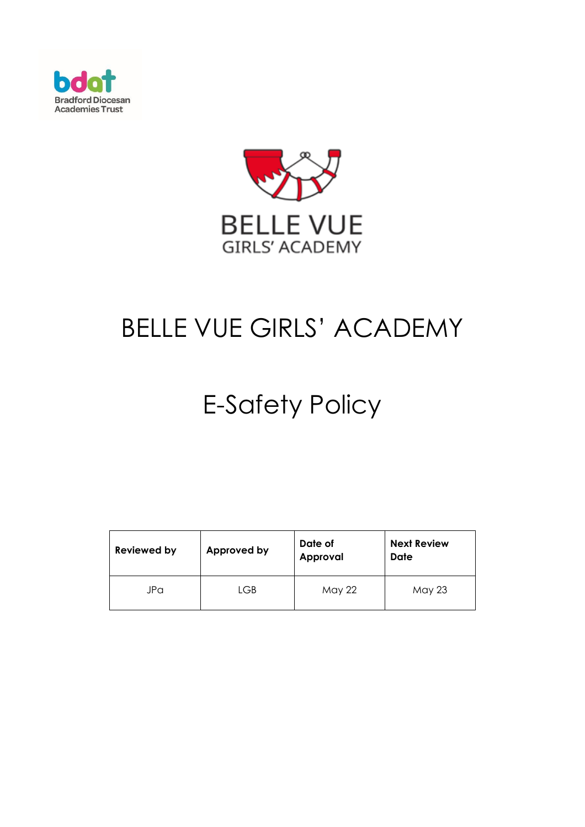



# BELLE VUE GIRLS' ACADEMY

# E-Safety Policy

| <b>Reviewed by</b> | Approved by | Date of<br>Approval | <b>Next Review</b><br>Date |
|--------------------|-------------|---------------------|----------------------------|
| JPa                | LGB         | May 22              | May 23                     |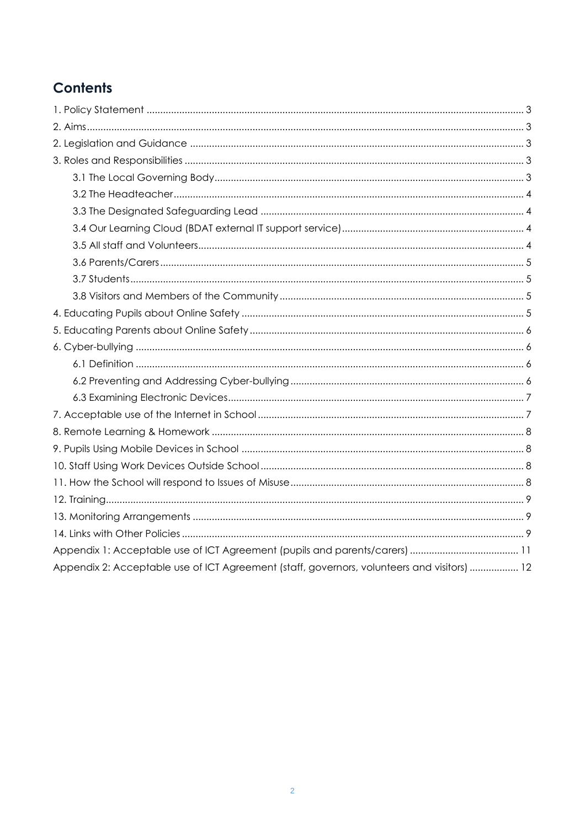# **Contents**

| Appendix 2: Acceptable use of ICT Agreement (staff, governors, volunteers and visitors)  12 |  |
|---------------------------------------------------------------------------------------------|--|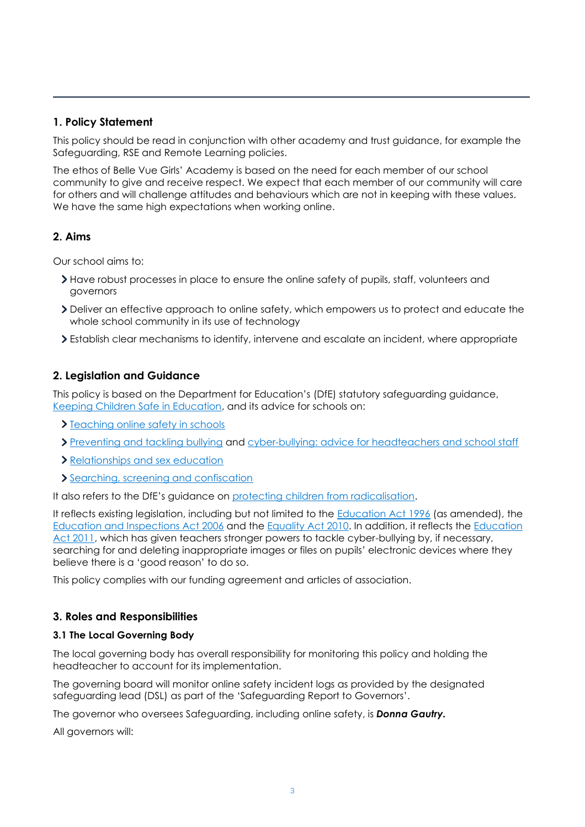# <span id="page-2-0"></span>**1. Policy Statement**

This policy should be read in conjunction with other academy and trust guidance, for example the Safeguarding, RSE and Remote Learning policies.

The ethos of Belle Vue Girls' Academy is based on the need for each member of our school community to give and receive respect. We expect that each member of our community will care for others and will challenge attitudes and behaviours which are not in keeping with these values. We have the same high expectations when working online.

# <span id="page-2-1"></span>**2. Aims**

Our school aims to:

- Have robust processes in place to ensure the online safety of pupils, staff, volunteers and governors
- Deliver an effective approach to online safety, which empowers us to protect and educate the whole school community in its use of technology
- Establish clear mechanisms to identify, intervene and escalate an incident, where appropriate

# <span id="page-2-2"></span>**2. Legislation and Guidance**

This policy is based on the Department for Education's (DfE) statutory safeguarding guidance, [Keeping Children Safe in Education,](https://www.gov.uk/government/publications/keeping-children-safe-in-education--2) and its advice for schools on:

- > [Teaching online safety in schools](https://www.gov.uk/government/publications/teaching-online-safety-in-schools)
- [Preventing and tackling bullying](https://www.gov.uk/government/publications/preventing-and-tackling-bullying) and [cyber-bullying: advice for headteachers and school staff](https://www.gov.uk/government/publications/preventing-and-tackling-bullying)
- [Relationships and sex education](https://www.gov.uk/government/publications/relationships-education-relationships-and-sex-education-rse-and-health-education)
- [Searching, screening and confiscation](https://www.gov.uk/government/publications/searching-screening-and-confiscation)

It also refers to the DfE's guidance on [protecting children from radicalisation.](https://www.gov.uk/government/publications/protecting-children-from-radicalisation-the-prevent-duty)

It reflects existing legislation, including but not limited to the [Education Act 1996](https://www.legislation.gov.uk/ukpga/1996/56/contents) (as amended), the [Education and Inspections Act 2006](https://www.legislation.gov.uk/ukpga/2006/40/contents) and the [Equality Act 2010.](https://www.legislation.gov.uk/ukpga/2010/15/contents) In addition, it reflects the [Education](http://www.legislation.gov.uk/ukpga/2011/21/contents/enacted)  [Act 2011,](http://www.legislation.gov.uk/ukpga/2011/21/contents/enacted) which has given teachers stronger powers to tackle cyber-bullying by, if necessary, searching for and deleting inappropriate images or files on pupils' electronic devices where they believe there is a 'good reason' to do so.

This policy complies with our funding agreement and articles of association.

# <span id="page-2-3"></span>**3. Roles and Responsibilities**

#### <span id="page-2-4"></span>**3.1 The Local Governing Body**

The local governing body has overall responsibility for monitoring this policy and holding the headteacher to account for its implementation.

The governing board will monitor online safety incident logs as provided by the designated safeguarding lead (DSL) as part of the 'Safeguarding Report to Governors'.

The governor who oversees Safeguarding, including online safety, is *Donna Gautry.*

All governors will: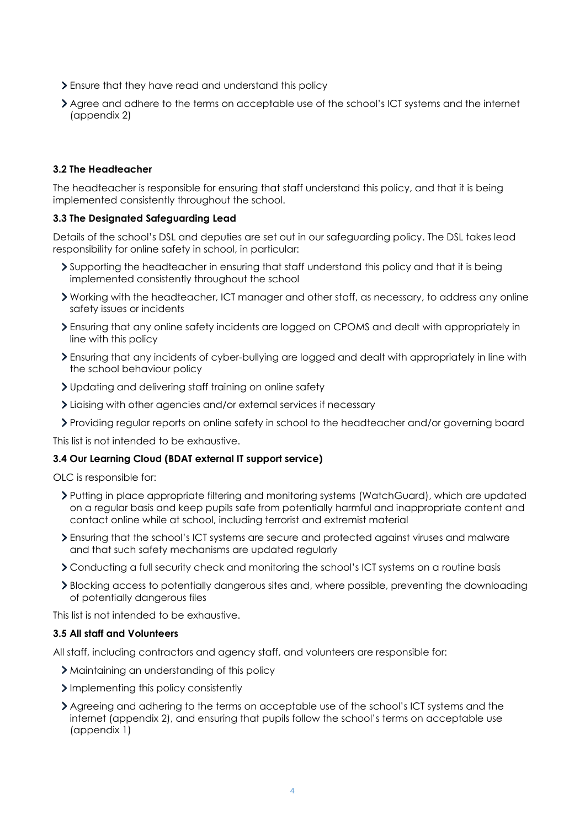- Ensure that they have read and understand this policy
- Agree and adhere to the terms on acceptable use of the school's ICT systems and the internet (appendix 2)

### <span id="page-3-0"></span>**3.2 The Headteacher**

The headteacher is responsible for ensuring that staff understand this policy, and that it is being implemented consistently throughout the school.

#### <span id="page-3-1"></span>**3.3 The Designated Safeguarding Lead**

Details of the school's DSL and deputies are set out in our safeguarding policy. The DSL takes lead responsibility for online safety in school, in particular:

- Supporting the headteacher in ensuring that staff understand this policy and that it is being implemented consistently throughout the school
- Working with the headteacher, ICT manager and other staff, as necessary, to address any online safety issues or incidents
- Ensuring that any online safety incidents are logged on CPOMS and dealt with appropriately in line with this policy
- Ensuring that any incidents of cyber-bullying are logged and dealt with appropriately in line with the school behaviour policy
- Updating and delivering staff training on online safety
- Liaising with other agencies and/or external services if necessary
- Providing regular reports on online safety in school to the headteacher and/or governing board

This list is not intended to be exhaustive.

#### <span id="page-3-2"></span>**3.4 Our Learning Cloud (BDAT external IT support service)**

OLC is responsible for:

- Putting in place appropriate filtering and monitoring systems (WatchGuard), which are updated on a regular basis and keep pupils safe from potentially harmful and inappropriate content and contact online while at school, including terrorist and extremist material
- Ensuring that the school's ICT systems are secure and protected against viruses and malware and that such safety mechanisms are updated regularly
- Conducting a full security check and monitoring the school's ICT systems on a routine basis
- Blocking access to potentially dangerous sites and, where possible, preventing the downloading of potentially dangerous files

This list is not intended to be exhaustive.

#### <span id="page-3-3"></span>**3.5 All staff and Volunteers**

All staff, including contractors and agency staff, and volunteers are responsible for:

- > Maintaining an understanding of this policy
- Implementing this policy consistently
- Agreeing and adhering to the terms on acceptable use of the school's ICT systems and the internet (appendix 2), and ensuring that pupils follow the school's terms on acceptable use (appendix 1)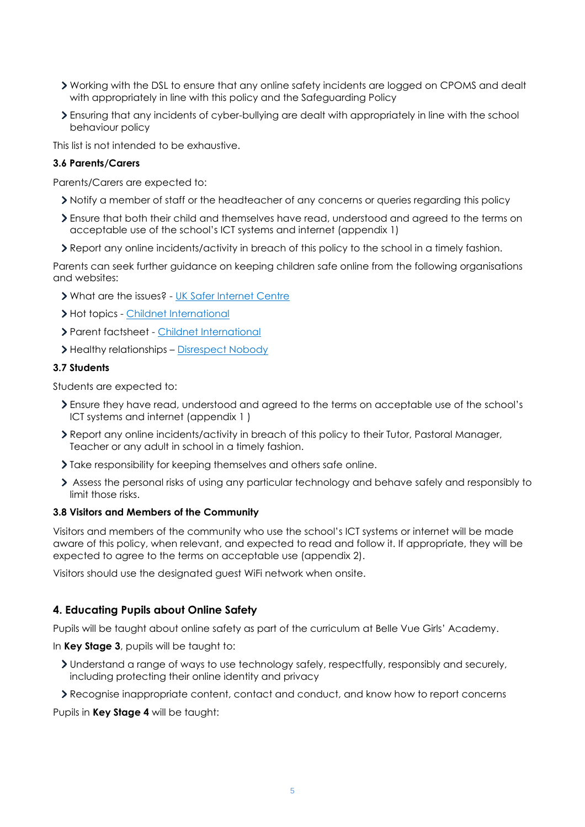- Working with the DSL to ensure that any online safety incidents are logged on CPOMS and dealt with appropriately in line with this policy and the Safeguarding Policy
- Ensuring that any incidents of cyber-bullying are dealt with appropriately in line with the school behaviour policy

This list is not intended to be exhaustive.

#### <span id="page-4-0"></span>**3.6 Parents/Carers**

Parents/Carers are expected to:

- Notify a member of staff or the headteacher of any concerns or queries regarding this policy
- Ensure that both their child and themselves have read, understood and agreed to the terms on acceptable use of the school's ICT systems and internet (appendix 1)
- Report any online incidents/activity in breach of this policy to the school in a timely fashion.

Parents can seek further guidance on keeping children safe online from the following organisations and websites:

- What are the issues? [UK Safer Internet Centre](https://www.saferinternet.org.uk/advice-centre/parents-and-carers/what-are-issues)
- > Hot topics [Childnet International](http://www.childnet.com/parents-and-carers/hot-topics)
- Parent factsheet [Childnet International](https://www.childnet.com/resources/parents-and-carers-resource-sheet)
- > Healthy relationships [Disrespect Nobody](https://www.disrespectnobody.co.uk/)

#### <span id="page-4-1"></span>**3.7 Students**

Students are expected to:

- Ensure they have read, understood and agreed to the terms on acceptable use of the school's ICT systems and internet (appendix 1 )
- Report any online incidents/activity in breach of this policy to their Tutor, Pastoral Manager, Teacher or any adult in school in a timely fashion.
- I Take responsibility for keeping themselves and others safe online.
- Assess the personal risks of using any particular technology and behave safely and responsibly to limit those risks.

#### <span id="page-4-2"></span>**3.8 Visitors and Members of the Community**

Visitors and members of the community who use the school's ICT systems or internet will be made aware of this policy, when relevant, and expected to read and follow it. If appropriate, they will be expected to agree to the terms on acceptable use (appendix 2).

Visitors should use the designated guest WiFi network when onsite.

#### <span id="page-4-3"></span>**4. Educating Pupils about Online Safety**

Pupils will be taught about online safety as part of the curriculum at Belle Vue Girls' Academy.

In **Key Stage 3**, pupils will be taught to:

- Understand a range of ways to use technology safely, respectfully, responsibly and securely, including protecting their online identity and privacy
- Recognise inappropriate content, contact and conduct, and know how to report concerns

Pupils in **Key Stage 4** will be taught: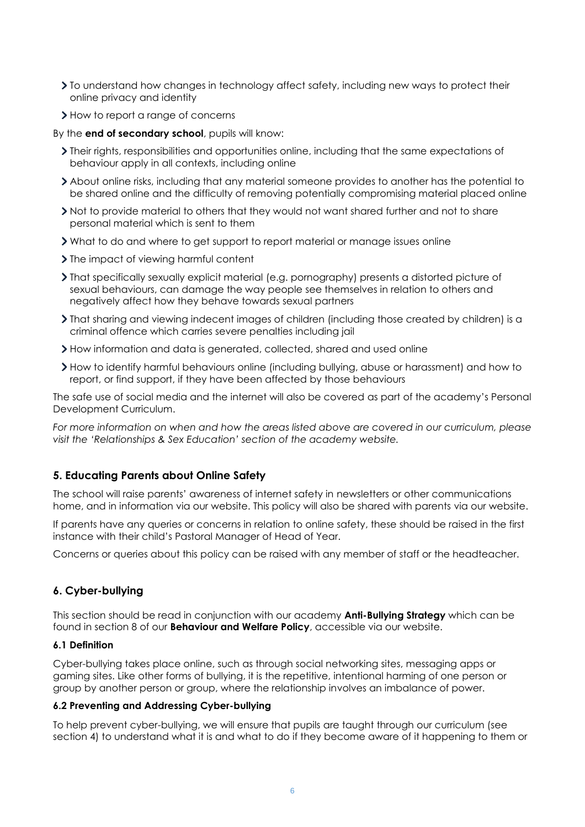- To understand how changes in technology affect safety, including new ways to protect their online privacy and identity
- > How to report a range of concerns

By the **end of secondary school**, pupils will know:

- Their rights, responsibilities and opportunities online, including that the same expectations of behaviour apply in all contexts, including online
- About online risks, including that any material someone provides to another has the potential to be shared online and the difficulty of removing potentially compromising material placed online
- Not to provide material to others that they would not want shared further and not to share personal material which is sent to them
- What to do and where to get support to report material or manage issues online
- If  $\sum$  The impact of viewing harmful content
- That specifically sexually explicit material (e.g. pornography) presents a distorted picture of sexual behaviours, can damage the way people see themselves in relation to others and negatively affect how they behave towards sexual partners
- That sharing and viewing indecent images of children (including those created by children) is a criminal offence which carries severe penalties including jail
- How information and data is generated, collected, shared and used online
- How to identify harmful behaviours online (including bullying, abuse or harassment) and how to report, or find support, if they have been affected by those behaviours

The safe use of social media and the internet will also be covered as part of the academy's Personal Development Curriculum.

*For more information on when and how the areas listed above are covered in our curriculum, please visit the 'Relationships & Sex Education' section of the academy website.*

#### <span id="page-5-0"></span>**5. Educating Parents about Online Safety**

The school will raise parents' awareness of internet safety in newsletters or other communications home, and in information via our website. This policy will also be shared with parents via our website.

If parents have any queries or concerns in relation to online safety, these should be raised in the first instance with their child's Pastoral Manager of Head of Year.

Concerns or queries about this policy can be raised with any member of staff or the headteacher.

# <span id="page-5-1"></span>**6. Cyber-bullying**

This section should be read in conjunction with our academy **Anti-Bullying Strategy** which can be found in section 8 of our **Behaviour and Welfare Policy**, accessible via our website.

#### <span id="page-5-2"></span>**6.1 Definition**

Cyber-bullying takes place online, such as through social networking sites, messaging apps or gaming sites. Like other forms of bullying, it is the repetitive, intentional harming of one person or group by another person or group, where the relationship involves an imbalance of power.

#### <span id="page-5-3"></span>**6.2 Preventing and Addressing Cyber-bullying**

To help prevent cyber-bullying, we will ensure that pupils are taught through our curriculum (see section 4) to understand what it is and what to do if they become aware of it happening to them or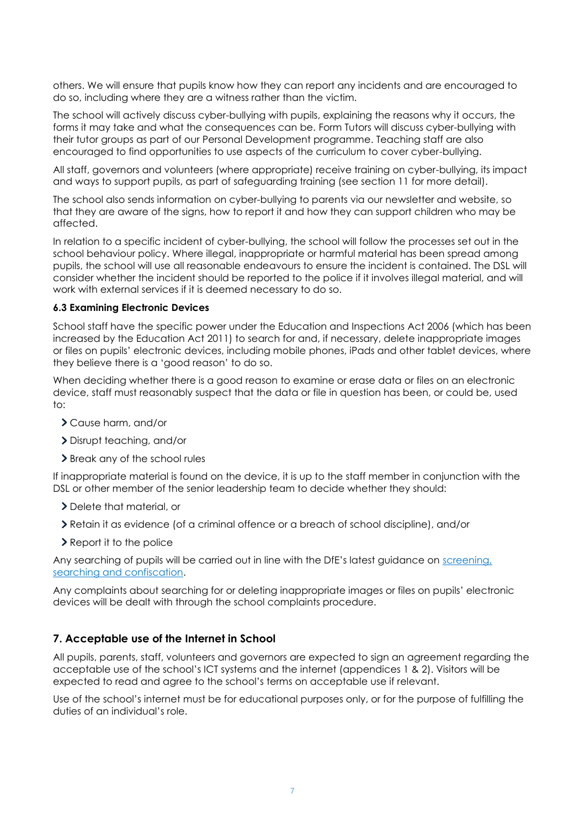others. We will ensure that pupils know how they can report any incidents and are encouraged to do so, including where they are a witness rather than the victim.

The school will actively discuss cyber-bullying with pupils, explaining the reasons why it occurs, the forms it may take and what the consequences can be. Form Tutors will discuss cyber-bullying with their tutor groups as part of our Personal Development programme. Teaching staff are also encouraged to find opportunities to use aspects of the curriculum to cover cyber-bullying.

All staff, governors and volunteers (where appropriate) receive training on cyber-bullying, its impact and ways to support pupils, as part of safeguarding training (see section 11 for more detail).

The school also sends information on cyber-bullying to parents via our newsletter and website, so that they are aware of the signs, how to report it and how they can support children who may be affected.

In relation to a specific incident of cyber-bullying, the school will follow the processes set out in the school behaviour policy. Where illegal, inappropriate or harmful material has been spread among pupils, the school will use all reasonable endeavours to ensure the incident is contained. The DSL will consider whether the incident should be reported to the police if it involves illegal material, and will work with external services if it is deemed necessary to do so.

#### <span id="page-6-0"></span>**6.3 Examining Electronic Devices**

School staff have the specific power under the Education and Inspections Act 2006 (which has been increased by the Education Act 2011) to search for and, if necessary, delete inappropriate images or files on pupils' electronic devices, including mobile phones, iPads and other tablet devices, where they believe there is a 'good reason' to do so.

When deciding whether there is a good reason to examine or erase data or files on an electronic device, staff must reasonably suspect that the data or file in question has been, or could be, used to:

- Cause harm, and/or
- Disrupt teaching, and/or
- > Break any of the school rules

If inappropriate material is found on the device, it is up to the staff member in conjunction with the DSL or other member of the senior leadership team to decide whether they should:

- Delete that material, or
- Retain it as evidence (of a criminal offence or a breach of school discipline), and/or
- > Report it to the police

Any searching of pupils will be carried out in line with the DfE's latest guidance on screening, [searching and confiscation.](https://www.gov.uk/government/publications/searching-screening-and-confiscation)

Any complaints about searching for or deleting inappropriate images or files on pupils' electronic devices will be dealt with through the school complaints procedure.

#### <span id="page-6-1"></span>**7. Acceptable use of the Internet in School**

All pupils, parents, staff, volunteers and governors are expected to sign an agreement regarding the acceptable use of the school's ICT systems and the internet (appendices 1 & 2). Visitors will be expected to read and agree to the school's terms on acceptable use if relevant.

Use of the school's internet must be for educational purposes only, or for the purpose of fulfilling the duties of an individual's role.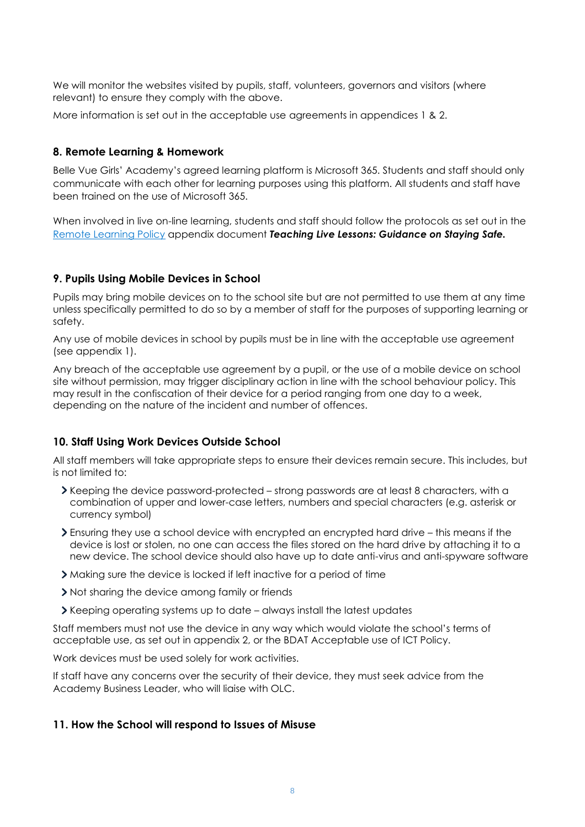We will monitor the websites visited by pupils, staff, volunteers, governors and visitors (where relevant) to ensure they comply with the above.

More information is set out in the acceptable use agreements in appendices 1 & 2.

#### <span id="page-7-0"></span>**8. Remote Learning & Homework**

Belle Vue Girls' Academy's agreed learning platform is Microsoft 365. Students and staff should only communicate with each other for learning purposes using this platform. All students and staff have been trained on the use of Microsoft 365.

When involved in live on-line learning, students and staff should follow the protocols as set out in the [Remote Learning Policy](https://www.bvgacademy.co.uk/docs/Remote_Learning_Policy_Jan21_with_appendix.pdf) appendix document *Teaching Live Lessons: Guidance on Staying Safe.*

#### <span id="page-7-1"></span>**9. Pupils Using Mobile Devices in School**

Pupils may bring mobile devices on to the school site but are not permitted to use them at any time unless specifically permitted to do so by a member of staff for the purposes of supporting learning or safety.

Any use of mobile devices in school by pupils must be in line with the acceptable use agreement (see appendix 1).

Any breach of the acceptable use agreement by a pupil, or the use of a mobile device on school site without permission, may trigger disciplinary action in line with the school behaviour policy. This may result in the confiscation of their device for a period ranging from one day to a week, depending on the nature of the incident and number of offences.

#### <span id="page-7-2"></span>**10. Staff Using Work Devices Outside School**

All staff members will take appropriate steps to ensure their devices remain secure. This includes, but is not limited to:

- Keeping the device password-protected strong passwords are at least 8 characters, with a combination of upper and lower-case letters, numbers and special characters (e.g. asterisk or currency symbol)
- Ensuring they use a school device with encrypted an encrypted hard drive this means if the device is lost or stolen, no one can access the files stored on the hard drive by attaching it to a new device. The school device should also have up to date anti-virus and anti-spyware software
- Making sure the device is locked if left inactive for a period of time
- If Not sharing the device among family or friends
- Keeping operating systems up to date always install the latest updates

Staff members must not use the device in any way which would violate the school's terms of acceptable use, as set out in appendix 2, or the BDAT Acceptable use of ICT Policy.

Work devices must be used solely for work activities.

If staff have any concerns over the security of their device, they must seek advice from the Academy Business Leader, who will liaise with OLC.

#### <span id="page-7-3"></span>**11. How the School will respond to Issues of Misuse**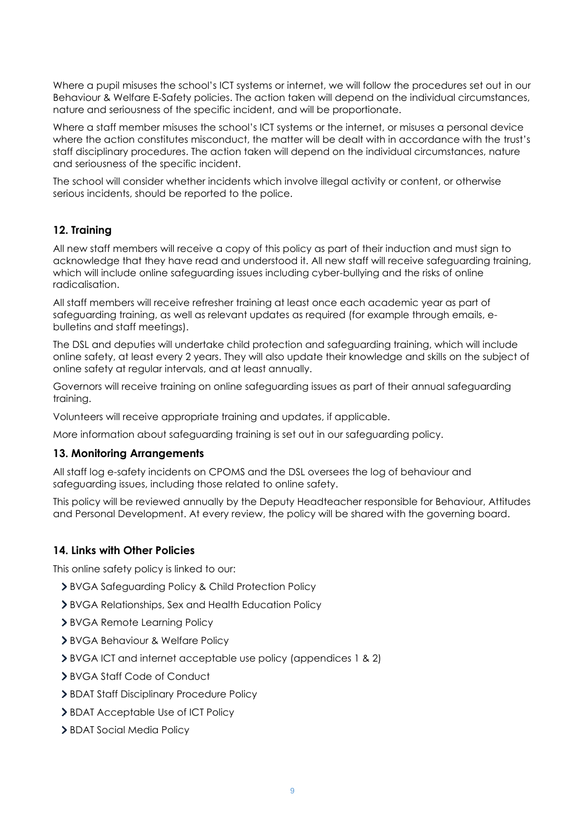Where a pupil misuses the school's ICT systems or internet, we will follow the procedures set out in our Behaviour & Welfare E-Safety policies. The action taken will depend on the individual circumstances, nature and seriousness of the specific incident, and will be proportionate.

Where a staff member misuses the school's ICT systems or the internet, or misuses a personal device where the action constitutes misconduct, the matter will be dealt with in accordance with the trust's staff disciplinary procedures. The action taken will depend on the individual circumstances, nature and seriousness of the specific incident.

The school will consider whether incidents which involve illegal activity or content, or otherwise serious incidents, should be reported to the police.

# <span id="page-8-0"></span>**12. Training**

All new staff members will receive a copy of this policy as part of their induction and must sign to acknowledge that they have read and understood it. All new staff will receive safeguarding training, which will include online safeguarding issues including cyber-bullying and the risks of online radicalisation.

All staff members will receive refresher training at least once each academic year as part of safeguarding training, as well as relevant updates as required (for example through emails, ebulletins and staff meetings).

The DSL and deputies will undertake child protection and safeguarding training, which will include online safety, at least every 2 years. They will also update their knowledge and skills on the subject of online safety at regular intervals, and at least annually.

Governors will receive training on online safeguarding issues as part of their annual safeguarding training.

Volunteers will receive appropriate training and updates, if applicable.

More information about safeguarding training is set out in our safeguarding policy.

# <span id="page-8-1"></span>**13. Monitoring Arrangements**

All staff log e-safety incidents on CPOMS and the DSL oversees the log of behaviour and safeguarding issues, including those related to online safety.

This policy will be reviewed annually by the Deputy Headteacher responsible for Behaviour, Attitudes and Personal Development. At every review, the policy will be shared with the governing board.

# <span id="page-8-2"></span>**14. Links with Other Policies**

This online safety policy is linked to our:

- BVGA Safeguarding Policy & Child Protection Policy
- BVGA Relationships, Sex and Health Education Policy
- BVGA Remote Learning Policy
- BVGA Behaviour & Welfare Policy
- BVGA ICT and internet acceptable use policy (appendices 1 & 2)
- BVGA Staff Code of Conduct
- > BDAT Staff Disciplinary Procedure Policy
- > BDAT Acceptable Use of ICT Policy
- > BDAT Social Media Policy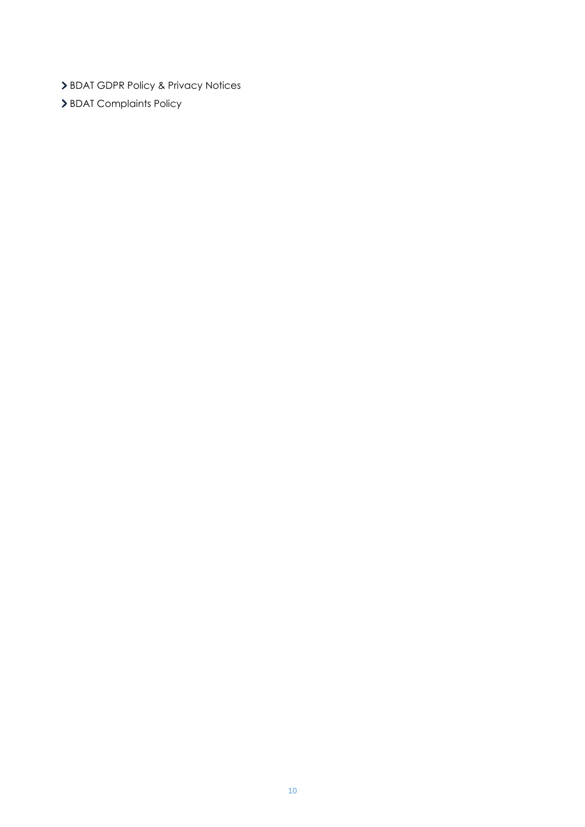- > BDAT GDPR Policy & Privacy Notices
- <span id="page-9-0"></span>> BDAT Complaints Policy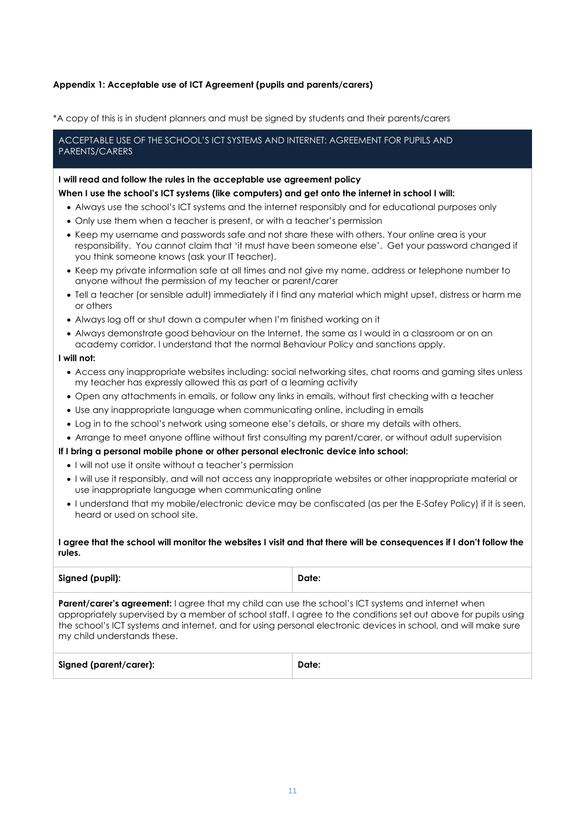#### **Appendix 1: Acceptable use of ICT Agreement (pupils and parents/carers)**

\*A copy of this is in student planners and must be signed by students and their parents/carers

#### ACCEPTABLE USE OF THE SCHOOL'S ICT SYSTEMS AND INTERNET: AGREEMENT FOR PUPILS AND PARENTS/CARERS

#### **I will read and follow the rules in the acceptable use agreement policy**

#### **When I use the school's ICT systems (like computers) and get onto the internet in school I will:**

- Always use the school's ICT systems and the internet responsibly and for educational purposes only
- Only use them when a teacher is present, or with a teacher's permission
- Keep my username and passwords safe and not share these with others. Your online area is your responsibility. You cannot claim that 'it must have been someone else'. Get your password changed if you think someone knows (ask your IT teacher).
- Keep my private information safe at all times and not give my name, address or telephone number to anyone without the permission of my teacher or parent/carer
- Tell a teacher (or sensible adult) immediately if I find any material which might upset, distress or harm me or others
- Always log off or shut down a computer when I'm finished working on it
- Always demonstrate good behaviour on the Internet, the same as I would in a classroom or on an academy corridor. I understand that the normal Behaviour Policy and sanctions apply.

#### **I will not:**

- Access any inappropriate websites including: social networking sites, chat rooms and gaming sites unless my teacher has expressly allowed this as part of a learning activity
- Open any attachments in emails, or follow any links in emails, without first checking with a teacher
- Use any inappropriate language when communicating online, including in emails
- Log in to the school's network using someone else's details, or share my details with others.
- Arrange to meet anyone offline without first consulting my parent/carer, or without adult supervision

#### **If I bring a personal mobile phone or other personal electronic device into school:**

- I will not use it onsite without a teacher's permission
- I will use it responsibly, and will not access any inappropriate websites or other inappropriate material or use inappropriate language when communicating online
- I understand that my mobile/electronic device may be confiscated (as per the E-Safey Policy) if it is seen, heard or used on school site.

#### **I agree that the school will monitor the websites I visit and that there will be consequences if I don't follow the rules.**

| Signed (pupil): | Date: |
|-----------------|-------|
|                 |       |

**Parent/carer's agreement:** I agree that my child can use the school's ICT systems and internet when appropriately supervised by a member of school staff. I agree to the conditions set out above for pupils using the school's ICT systems and internet, and for using personal electronic devices in school, and will make sure my child understands these.

| Signed (parent/carer): | Date: |
|------------------------|-------|
|------------------------|-------|